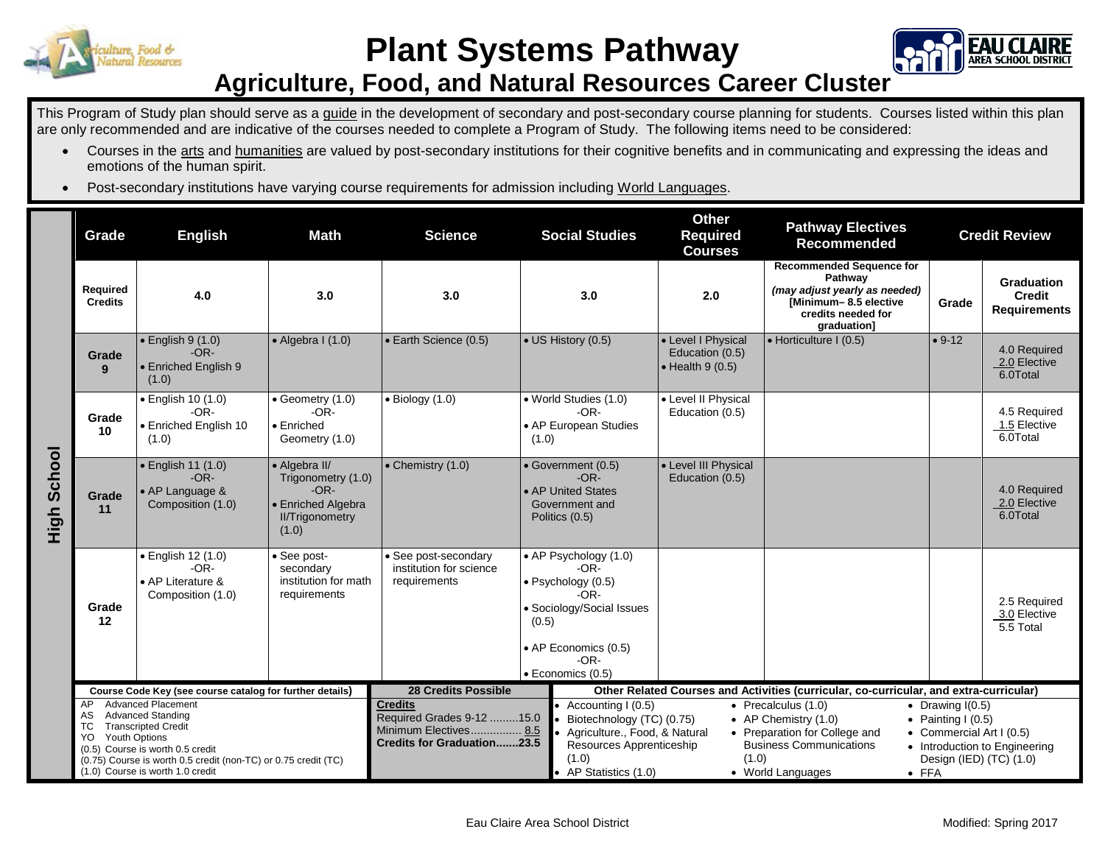



## **Agriculture, Food, and Natural Resources Career Cluster**

This Program of Study plan should serve as a guide in the development of secondary and post-secondary course planning for students. Courses listed within this plan are only recommended and are indicative of the courses needed to complete a Program of Study. The following items need to be considered:

- Courses in the arts and humanities are valued by post-secondary institutions for their cognitive benefits and in communicating and expressing the ideas and emotions of the human spirit.
- Post-secondary institutions have varying course requirements for admission including World Languages.

|                | Grade                                                                                                                                                                                                                                                                  | <b>English</b>                                                         | <b>Math</b><br><b>Science</b>                                                                          |                                                                                                           | <b>Social Studies</b>                                                                                                                        |                                                                                                                                                     | <b>Other</b><br><b>Pathway Electives</b><br><b>Required</b><br><b>Recommended</b><br><b>Courses</b> |                                                                                                                                                              | <b>Credit Review</b>                                                   |                                                          |
|----------------|------------------------------------------------------------------------------------------------------------------------------------------------------------------------------------------------------------------------------------------------------------------------|------------------------------------------------------------------------|--------------------------------------------------------------------------------------------------------|-----------------------------------------------------------------------------------------------------------|----------------------------------------------------------------------------------------------------------------------------------------------|-----------------------------------------------------------------------------------------------------------------------------------------------------|-----------------------------------------------------------------------------------------------------|--------------------------------------------------------------------------------------------------------------------------------------------------------------|------------------------------------------------------------------------|----------------------------------------------------------|
| School<br>High | Required<br><b>Credits</b>                                                                                                                                                                                                                                             | 4.0                                                                    | 3.0                                                                                                    | 3.0                                                                                                       |                                                                                                                                              | 3.0                                                                                                                                                 | 2.0                                                                                                 | <b>Recommended Sequence for</b><br>Pathway<br>(may adjust yearly as needed)<br>[Minimum-8.5 elective<br>credits needed for<br>graduation]                    | Grade                                                                  | <b>Graduation</b><br>Credit<br><b>Requirements</b>       |
|                | Grade<br>9                                                                                                                                                                                                                                                             | $\bullet$ English 9 (1.0)<br>$-OR-$<br>• Enriched English 9<br>(1.0)   | $\bullet$ Algebra I (1.0)                                                                              | · Earth Science (0.5)                                                                                     |                                                                                                                                              | • US History (0.5)                                                                                                                                  | • Level I Physical<br>Education (0.5)<br>$\bullet$ Health 9 (0.5)                                   | • Horticulture I (0.5)                                                                                                                                       | $• 9-12$                                                               | 4.0 Required<br>2.0 Elective<br>6.0Total                 |
|                | Grade<br>10                                                                                                                                                                                                                                                            | · English 10 (1.0)<br>$-OR-$<br>• Enriched English 10<br>(1.0)         | $\bullet$ Geometry (1.0)<br>$-OR-$<br>• Enriched<br>Geometry (1.0)                                     | $\bullet$ Biology (1.0)                                                                                   | (1.0)                                                                                                                                        | • World Studies (1.0)<br>$-OR-$<br>• AP European Studies                                                                                            | • Level II Physical<br>Education (0.5)                                                              |                                                                                                                                                              |                                                                        | 4.5 Required<br>1.5 Elective<br>6.0Total                 |
|                | Grade<br>11                                                                                                                                                                                                                                                            | • English 11 (1.0)<br>$-OR-$<br>• AP Language &<br>Composition (1.0)   | • Algebra II/<br>Trigonometry (1.0)<br>$-OR-$<br>• Enriched Algebra<br><b>II/Trigonometry</b><br>(1.0) | • Chemistry (1.0)                                                                                         |                                                                                                                                              | • Government (0.5)<br>$-OR-$<br>• AP United States<br>Government and<br>Politics (0.5)                                                              | • Level III Physical<br>Education (0.5)                                                             |                                                                                                                                                              |                                                                        | 4.0 Required<br>2.0 Elective<br>6.0Total                 |
|                | Grade<br>12                                                                                                                                                                                                                                                            | · English 12 (1.0)<br>$-OR-$<br>• AP Literature &<br>Composition (1.0) | • See post-<br>secondary<br>institution for math<br>requirements                                       | • See post-secondary<br>institution for science<br>requirements                                           | (0.5)                                                                                                                                        | • AP Psychology (1.0)<br>$-OR-$<br>· Psychology (0.5)<br>$-OR-$<br>· Sociology/Social Issues<br>• AP Economics (0.5)<br>$-OR-$<br>· Economics (0.5) |                                                                                                     |                                                                                                                                                              |                                                                        | 2.5 Required<br>3.0 Elective<br>5.5 Total                |
|                | Course Code Key (see course catalog for further details)                                                                                                                                                                                                               |                                                                        |                                                                                                        | <b>28 Credits Possible</b>                                                                                |                                                                                                                                              | Other Related Courses and Activities (curricular, co-curricular, and extra-curricular)                                                              |                                                                                                     |                                                                                                                                                              |                                                                        |                                                          |
|                | <b>Advanced Placement</b><br>AP<br><b>Advanced Standing</b><br>AS<br><b>Transcripted Credit</b><br>ТC<br>Youth Options<br>YO<br>(0.5) Course is worth 0.5 credit<br>(0.75) Course is worth 0.5 credit (non-TC) or 0.75 credit (TC)<br>(1.0) Course is worth 1.0 credit |                                                                        |                                                                                                        | <b>Credits</b><br>Required Grades 9-12 15.0<br>Minimum Electives 8.5<br><b>Credits for Graduation23.5</b> | Accounting I (0.5)<br>Biotechnology (TC) (0.75)<br>Agriculture., Food, & Natural<br>Resources Apprenticeship<br>(1.0)<br>AP Statistics (1.0) |                                                                                                                                                     | (1.0)                                                                                               | $\bullet$ Precalculus (1.0)<br>• AP Chemistry (1.0)<br>• Preparation for College and<br><b>Business Communications</b><br>• World Languages<br>$\bullet$ FFA | • Drawing $I(0.5)$<br>• Painting I $(0.5)$<br>• Commercial Art I (0.5) | • Introduction to Engineering<br>Design (IED) (TC) (1.0) |